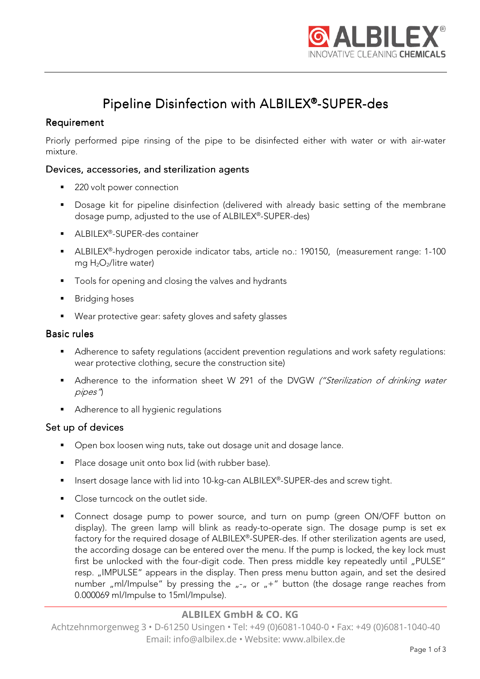

# Pipeline Disinfection with ALBILEX®-SUPER-des

## **Requirement**

Priorly performed pipe rinsing of the pipe to be disinfected either with water or with air-water mixture.

## Devices, accessories, and sterilization agents

- 220 volt power connection
- **Dosage kit for pipeline disinfection (delivered with already basic setting of the membrane** dosage pump, adjusted to the use of ALBILEX® -SUPER-des)
- ALBILEX®-SUPER-des container
- ALBILEX®-hydrogen peroxide indicator tabs, article no.: 190150, (measurement range: 1-100 mg H<sub>2</sub>O<sub>2</sub>/litre water)
- Tools for opening and closing the valves and hydrants
- **Bridging hoses**
- Wear protective gear: safety gloves and safety glasses

#### Basic rules

- Adherence to safety regulations (accident prevention regulations and work safety regulations: wear protective clothing, secure the construction site)
- Adherence to the information sheet W 291 of the DVGW ("Sterilization of drinking water pipes")
- Adherence to all hygienic regulations

#### Set up of devices

- **Den box loosen wing nuts, take out dosage unit and dosage lance.**
- Place dosage unit onto box lid (with rubber base).
- **Insert dosage lance with lid into 10-kg-can ALBILEX®-SUPER-des and screw tight.**
- Close turncock on the outlet side.
- Connect dosage pump to power source, and turn on pump (green ON/OFF button on display). The green lamp will blink as ready-to-operate sign. The dosage pump is set ex factory for the required dosage of ALBILEX® -SUPER-des.If other sterilization agents are used, the according dosage can be entered over the menu. If the pump is locked, the key lock must first be unlocked with the four-digit code. Then press middle key repeatedly until "PULSE" resp. "IMPULSE" appears in the display. Then press menu button again, and set the desired number "ml/Impulse" by pressing the  $_{n-x}$  or  $_{n}+$ " button (the dosage range reaches from 0.000069 ml/Impulse to 15ml/Impulse).

## **ALBILEX GmbH & CO. KG**

Achtzehnmorgenweg 3 • D-61250 Usingen • Tel: +49 (0)6081-1040-0 • Fax: +49 (0)6081-1040-40 Email: info@albilex.de • Website: www.albilex.de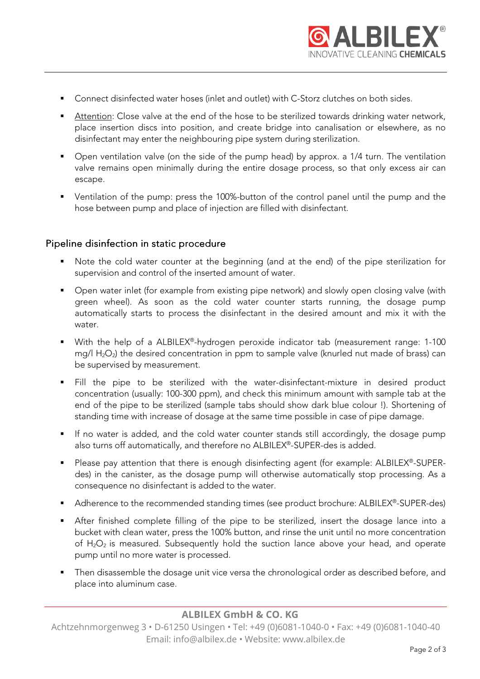

- Connect disinfected water hoses (inlet and outlet) with C-Storz clutches on both sides.
- Attention: Close valve at the end of the hose to be sterilized towards drinking water network, place insertion discs into position, and create bridge into canalisation or elsewhere, as no disinfectant may enter the neighbouring pipe system during sterilization.
- Open ventilation valve (on the side of the pump head) by approx. a 1/4 turn. The ventilation valve remains open minimally during the entire dosage process, so that only excess air can escape.
- Ventilation of the pump: press the 100%-button of the control panel until the pump and the hose between pump and place of injection are filled with disinfectant.

#### Pipeline disinfection in static procedure

- Note the cold water counter at the beginning (and at the end) of the pipe sterilization for supervision and control of the inserted amount of water.
- Open water inlet (for example from existing pipe network) and slowly open closing valve (with green wheel). As soon as the cold water counter starts running, the dosage pump automatically starts to process the disinfectant in the desired amount and mix it with the water
- With the help of a ALBILEX®-hydrogen peroxide indicator tab (measurement range: 1-100 mg/l  $H_2O_2$ ) the desired concentration in ppm to sample valve (knurled nut made of brass) can be supervised by measurement.
- Fill the pipe to be sterilized with the water-disinfectant-mixture in desired product concentration (usually: 100-300 ppm), and check this minimum amount with sample tab at the end of the pipe to be sterilized (sample tabs should show dark blue colour !). Shortening of standing time with increase of dosage at the same time possible in case of pipe damage.
- If no water is added, and the cold water counter stands still accordingly, the dosage pump also turns off automatically, and therefore no ALBILEX® -SUPER-des is added.
- Please pay attention that there is enough disinfecting agent (for example: ALBILEX®-SUPERdes) in the canister, as the dosage pump will otherwise automatically stop processing. As a consequence no disinfectant is added to the water.
- Adherence to the recommended standing times (see product brochure: ALBILEX®-SUPER-des)
- After finished complete filling of the pipe to be sterilized, insert the dosage lance into a bucket with clean water, press the 100% button, and rinse the unit until no more concentration of  $H_2O_2$  is measured. Subsequently hold the suction lance above your head, and operate pump until no more water is processed.
- Then disassemble the dosage unit vice versa the chronological order as described before, and place into aluminum case.

#### **ALBILEX GmbH & CO. KG**

Achtzehnmorgenweg 3 • D-61250 Usingen • Tel: +49 (0)6081-1040-0 • Fax: +49 (0)6081-1040-40 Email: info@albilex.de • Website: www.albilex.de